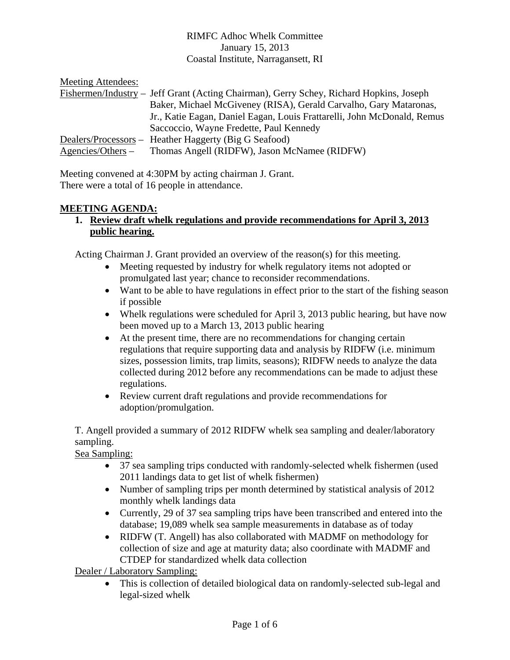### RIMFC Adhoc Whelk Committee January 15, 2013 Coastal Institute, Narragansett, RI

| Meeting Attendees:   |                                                                                         |
|----------------------|-----------------------------------------------------------------------------------------|
|                      | Fishermen/Industry – Jeff Grant (Acting Chairman), Gerry Schey, Richard Hopkins, Joseph |
|                      | Baker, Michael McGiveney (RISA), Gerald Carvalho, Gary Mataronas,                       |
|                      | Jr., Katie Eagan, Daniel Eagan, Louis Frattarelli, John McDonald, Remus                 |
|                      | Saccoccio, Wayne Fredette, Paul Kennedy                                                 |
|                      | Dealers/Processors – Heather Haggerty (Big G Seafood)                                   |
| $A$ gencies/Others – | Thomas Angell (RIDFW), Jason McNamee (RIDFW)                                            |

Meeting convened at 4:30PM by acting chairman J. Grant. There were a total of 16 people in attendance.

### **MEETING AGENDA:**

**1. Review draft whelk regulations and provide recommendations for April 3, 2013 public hearing.**

Acting Chairman J. Grant provided an overview of the reason(s) for this meeting.

- Meeting requested by industry for whelk regulatory items not adopted or promulgated last year; chance to reconsider recommendations.
- Want to be able to have regulations in effect prior to the start of the fishing season if possible
- Whelk regulations were scheduled for April 3, 2013 public hearing, but have now been moved up to a March 13, 2013 public hearing
- At the present time, there are no recommendations for changing certain regulations that require supporting data and analysis by RIDFW (i.e. minimum sizes, possession limits, trap limits, seasons); RIDFW needs to analyze the data collected during 2012 before any recommendations can be made to adjust these regulations.
- Review current draft regulations and provide recommendations for adoption/promulgation.

T. Angell provided a summary of 2012 RIDFW whelk sea sampling and dealer/laboratory sampling.

Sea Sampling:

- 37 sea sampling trips conducted with randomly-selected whelk fishermen (used 2011 landings data to get list of whelk fishermen)
- Number of sampling trips per month determined by statistical analysis of 2012 monthly whelk landings data
- Currently, 29 of 37 sea sampling trips have been transcribed and entered into the database; 19,089 whelk sea sample measurements in database as of today
- RIDFW (T. Angell) has also collaborated with MADMF on methodology for collection of size and age at maturity data; also coordinate with MADMF and CTDEP for standardized whelk data collection

Dealer / Laboratory Sampling:

 This is collection of detailed biological data on randomly-selected sub-legal and legal-sized whelk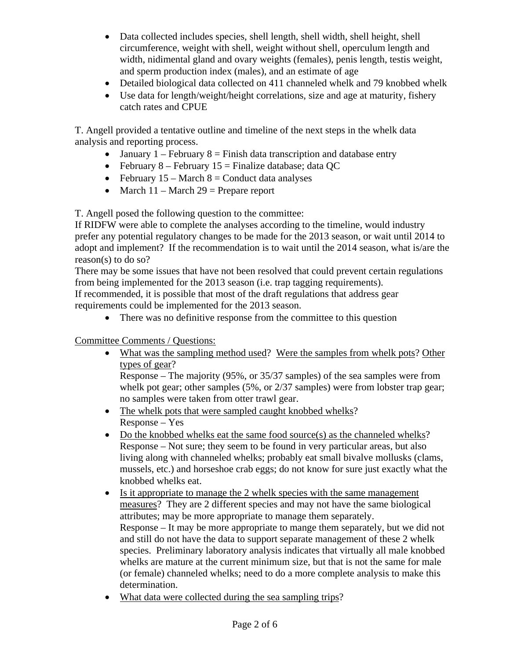- Data collected includes species, shell length, shell width, shell height, shell circumference, weight with shell, weight without shell, operculum length and width, nidimental gland and ovary weights (females), penis length, testis weight, and sperm production index (males), and an estimate of age
- Detailed biological data collected on 411 channeled whelk and 79 knobbed whelk
- Use data for length/weight/height correlations, size and age at maturity, fishery catch rates and CPUE

T. Angell provided a tentative outline and timeline of the next steps in the whelk data analysis and reporting process.

- January 1 February 8 = Finish data transcription and database entry
- February 8 February 15 = Finalize database; data QC
- February  $15 March 8 = Conduct data analyses$
- March  $11 \text{March } 29 = \text{Prepare report}$

T. Angell posed the following question to the committee:

If RIDFW were able to complete the analyses according to the timeline, would industry prefer any potential regulatory changes to be made for the 2013 season, or wait until 2014 to adopt and implement? If the recommendation is to wait until the 2014 season, what is/are the reason(s) to do so?

There may be some issues that have not been resolved that could prevent certain regulations from being implemented for the 2013 season (i.e. trap tagging requirements).

If recommended, it is possible that most of the draft regulations that address gear requirements could be implemented for the 2013 season.

• There was no definitive response from the committee to this question

Committee Comments / Questions:

• What was the sampling method used? Were the samples from whelk pots? Other types of gear?

Response – The majority (95%, or 35/37 samples) of the sea samples were from whelk pot gear; other samples (5%, or 2/37 samples) were from lobster trap gear; no samples were taken from otter trawl gear.

- The whelk pots that were sampled caught knobbed whelks? Response – Yes
- Do the knobbed whelks eat the same food source(s) as the channeled whelks? Response – Not sure; they seem to be found in very particular areas, but also living along with channeled whelks; probably eat small bivalve mollusks (clams, mussels, etc.) and horseshoe crab eggs; do not know for sure just exactly what the knobbed whelks eat.
- Is it appropriate to manage the 2 whelk species with the same management measures? They are 2 different species and may not have the same biological attributes; may be more appropriate to manage them separately. Response – It may be more appropriate to mange them separately, but we did not and still do not have the data to support separate management of these 2 whelk species. Preliminary laboratory analysis indicates that virtually all male knobbed whelks are mature at the current minimum size, but that is not the same for male (or female) channeled whelks; need to do a more complete analysis to make this determination.
- What data were collected during the sea sampling trips?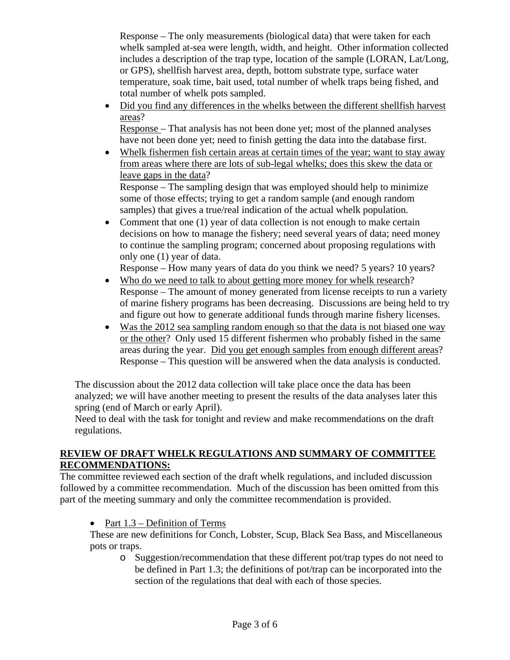Response – The only measurements (biological data) that were taken for each whelk sampled at-sea were length, width, and height. Other information collected includes a description of the trap type, location of the sample (LORAN, Lat/Long, or GPS), shellfish harvest area, depth, bottom substrate type, surface water temperature, soak time, bait used, total number of whelk traps being fished, and total number of whelk pots sampled.

 Did you find any differences in the whelks between the different shellfish harvest areas?

Response – That analysis has not been done yet; most of the planned analyses have not been done yet; need to finish getting the data into the database first.

 Whelk fishermen fish certain areas at certain times of the year; want to stay away from areas where there are lots of sub-legal whelks; does this skew the data or leave gaps in the data?

Response – The sampling design that was employed should help to minimize some of those effects; trying to get a random sample (and enough random samples) that gives a true/real indication of the actual whelk population.

• Comment that one (1) year of data collection is not enough to make certain decisions on how to manage the fishery; need several years of data; need money to continue the sampling program; concerned about proposing regulations with only one (1) year of data.

Response – How many years of data do you think we need? 5 years? 10 years?

- Who do we need to talk to about getting more money for whelk research? Response – The amount of money generated from license receipts to run a variety of marine fishery programs has been decreasing. Discussions are being held to try and figure out how to generate additional funds through marine fishery licenses.
- Was the 2012 sea sampling random enough so that the data is not biased one way or the other? Only used 15 different fishermen who probably fished in the same areas during the year. Did you get enough samples from enough different areas? Response – This question will be answered when the data analysis is conducted.

The discussion about the 2012 data collection will take place once the data has been analyzed; we will have another meeting to present the results of the data analyses later this spring (end of March or early April).

Need to deal with the task for tonight and review and make recommendations on the draft regulations.

# **REVIEW OF DRAFT WHELK REGULATIONS AND SUMMARY OF COMMITTEE RECOMMENDATIONS:**

The committee reviewed each section of the draft whelk regulations, and included discussion followed by a committee recommendation. Much of the discussion has been omitted from this part of the meeting summary and only the committee recommendation is provided.

• Part  $1.3$  – Definition of Terms

These are new definitions for Conch, Lobster, Scup, Black Sea Bass, and Miscellaneous pots or traps.

o Suggestion/recommendation that these different pot/trap types do not need to be defined in Part 1.3; the definitions of pot/trap can be incorporated into the section of the regulations that deal with each of those species.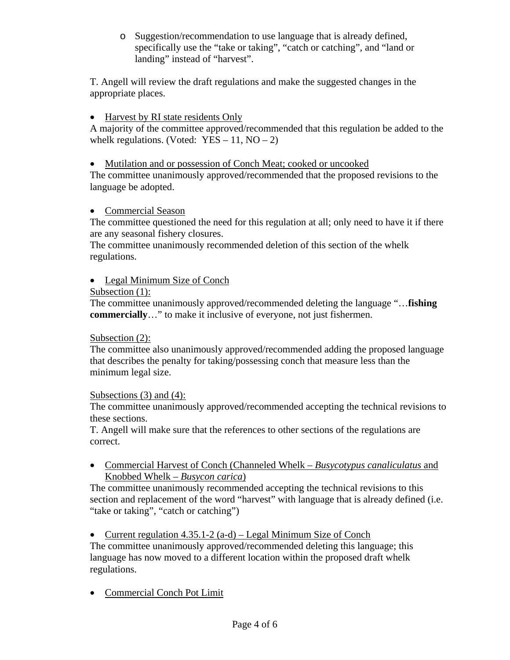o Suggestion/recommendation to use language that is already defined, specifically use the "take or taking", "catch or catching", and "land or landing" instead of "harvest".

T. Angell will review the draft regulations and make the suggested changes in the appropriate places.

# • Harvest by RI state residents Only

A majority of the committee approved/recommended that this regulation be added to the whelk regulations. (Voted:  $YES - 11$ ,  $NO - 2$ )

## Mutilation and or possession of Conch Meat; cooked or uncooked

The committee unanimously approved/recommended that the proposed revisions to the language be adopted.

### • Commercial Season

The committee questioned the need for this regulation at all; only need to have it if there are any seasonal fishery closures.

The committee unanimously recommended deletion of this section of the whelk regulations.

# • Legal Minimum Size of Conch

### Subsection (1):

The committee unanimously approved/recommended deleting the language "…**fishing commercially**…" to make it inclusive of everyone, not just fishermen.

### Subsection (2):

The committee also unanimously approved/recommended adding the proposed language that describes the penalty for taking/possessing conch that measure less than the minimum legal size.

### Subsections (3) and (4):

The committee unanimously approved/recommended accepting the technical revisions to these sections.

T. Angell will make sure that the references to other sections of the regulations are correct.

 Commercial Harvest of Conch (Channeled Whelk – *Busycotypus canaliculatus* and Knobbed Whelk – *Busycon carica*)

The committee unanimously recommended accepting the technical revisions to this section and replacement of the word "harvest" with language that is already defined (i.e. "take or taking", "catch or catching")

• Current regulation  $4.35.1-2$  (a-d) – Legal Minimum Size of Conch

The committee unanimously approved/recommended deleting this language; this language has now moved to a different location within the proposed draft whelk regulations.

• Commercial Conch Pot Limit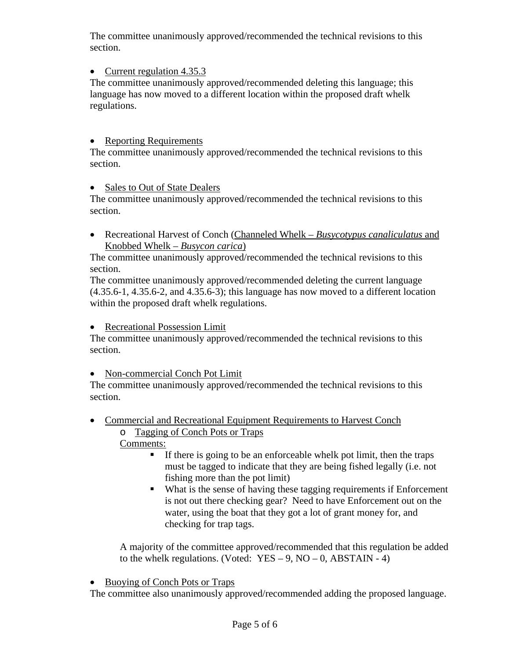The committee unanimously approved/recommended the technical revisions to this section.

# • Current regulation 4.35.3

The committee unanimously approved/recommended deleting this language; this language has now moved to a different location within the proposed draft whelk regulations.

### • Reporting Requirements

The committee unanimously approved/recommended the technical revisions to this section.

### • Sales to Out of State Dealers

The committee unanimously approved/recommended the technical revisions to this section.

 Recreational Harvest of Conch (Channeled Whelk – *Busycotypus canaliculatus* and Knobbed Whelk – *Busycon carica*)

The committee unanimously approved/recommended the technical revisions to this section.

The committee unanimously approved/recommended deleting the current language (4.35.6-1, 4.35.6-2, and 4.35.6-3); this language has now moved to a different location within the proposed draft whelk regulations.

### Recreational Possession Limit

The committee unanimously approved/recommended the technical revisions to this section.

### • Non-commercial Conch Pot Limit

The committee unanimously approved/recommended the technical revisions to this section.

- Commercial and Recreational Equipment Requirements to Harvest Conch
	- o Tagging of Conch Pots or Traps Comments:
		- $\blacksquare$  If there is going to be an enforceable whelk pot limit, then the traps must be tagged to indicate that they are being fished legally (i.e. not fishing more than the pot limit)
		- What is the sense of having these tagging requirements if Enforcement is not out there checking gear? Need to have Enforcement out on the water, using the boat that they got a lot of grant money for, and checking for trap tags.

A majority of the committee approved/recommended that this regulation be added to the whelk regulations. (Voted:  $YES - 9$ ,  $NO - 0$ ,  $ABSTAIN - 4$ )

• Buoying of Conch Pots or Traps

The committee also unanimously approved/recommended adding the proposed language.